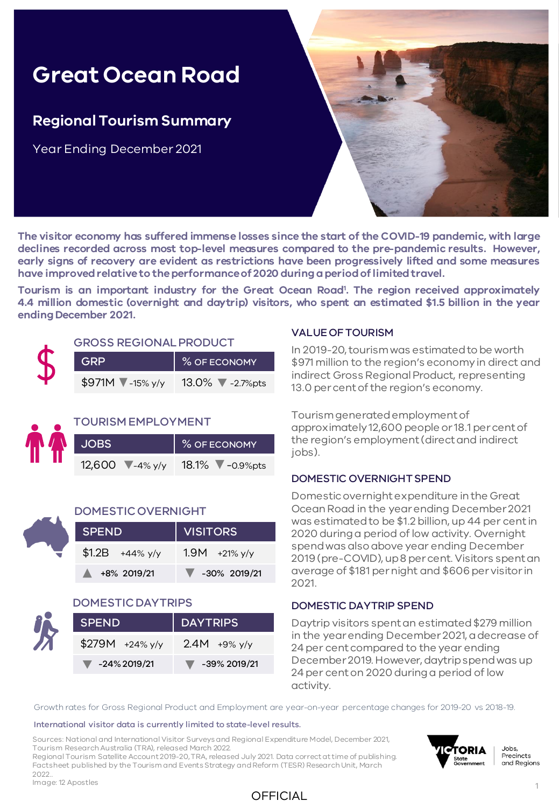# **Great Ocean Road**

# **Regional Tourism Summary**

Year Ending December 2021



**The visitor economy has suffered immense losses since the start of the COVID-19 pandemic, with large declines recorded across most top-level measures compared to the pre-pandemic results. However, early signs of recovery are evident as restrictions have been progressively lifted and some measures have improvedrelativeto theperformanceof 2020 duringaperiodoflimitedtravel.**

**Tourism is an important industry for the Great Ocean Road<sup>1</sup> . The region received approximately 4.4 million domestic (overnight and daytrip) visitors, who spent an estimated \$1.5 billion in the year endingDecember 2021.**



| <b>GROSS REGIONAL PRODUCT</b> |  |
|-------------------------------|--|
|                               |  |

| GRP                         | % OF ECONOMY                |  |  |  |  |
|-----------------------------|-----------------------------|--|--|--|--|
| $$971M$ $\sqrt{4.15\% y/y}$ | $13.0\%$ $\sqrt{2.7\%}$ pts |  |  |  |  |

# TOURISM EMPLOYMENT

| JOBS                     | $\frac{1}{2}$ % OF ECONOMY |                |  |  |  |
|--------------------------|----------------------------|----------------|--|--|--|
| 12,600 $\sqrt{-4\% y/y}$ |                            | 18.1% -0.9%pts |  |  |  |



# DOMESTIC OVERNIGHT

| <b>SPEND</b>     | VISITORS                          |  |  |  |  |
|------------------|-----------------------------------|--|--|--|--|
| $$1.2B$ +44% y/y | $1.9M + 21\%$ y/y                 |  |  |  |  |
| +8% 2019/21      | $\blacktriangledown$ -30% 2019/21 |  |  |  |  |

### DOMESTIC DAYTRIPS

| <b>SPEND</b>                      | DAYTRIPS                          |  |  |  |
|-----------------------------------|-----------------------------------|--|--|--|
| $$279M + 24\%$ y/y                | $2.4M + 9\%$ y/y                  |  |  |  |
| $\blacktriangledown$ -24% 2019/21 | $\blacktriangledown$ -39% 2019/21 |  |  |  |

#### VALUE OF TOURISM

In 2019-20, tourism was estimated to be worth \$971 million to the region's economy in direct and indirect Gross Regional Product, representing 13.0 per cent of the region's economy.

Tourism generated employment of approximately 12,600 people or 18.1 per cent of the region's employment (direct and indirect iobs).

### DOMESTIC OVERNIGHT SPEND

Domestic overnight expenditure in the Great Ocean Road in the year ending December 2021 was estimated to be \$1.2 billion, up 44 per cent in 2020 during a period of low activity. Overnight spend was also above year ending December 2019 (pre-COVID), up 8 per cent. Visitors spent an average of \$181 per night and \$606 per visitor in 2021.

### DOMESTIC DAYTRIP SPEND

Daytrip visitors spent an estimated \$279 million in the year ending December 2021, a decrease of 24 per cent compared to the year ending December 2019. However, daytrip spend was up 24 per cent on 2020 during a period of low activity.

Growth rates for Gross Regional Product and Employment are year-on-year percentage changes for 2019-20 vs 2018-19.

#### International visitor data is currently limited to state-level results.

Sources: National and International Visitor Surveys and Regional Expenditure Model, December 2021, Tourism Research Australia (TRA), released March 2022.

Regional Tourism Satellite Account 2019-20, TRA, released July 2021. Data correct at time of publishing. Factsheet published by the Tourism and Events Strategy and Reform (TESR) Research Unit, March 2022..







Jobs, Precincts and Regions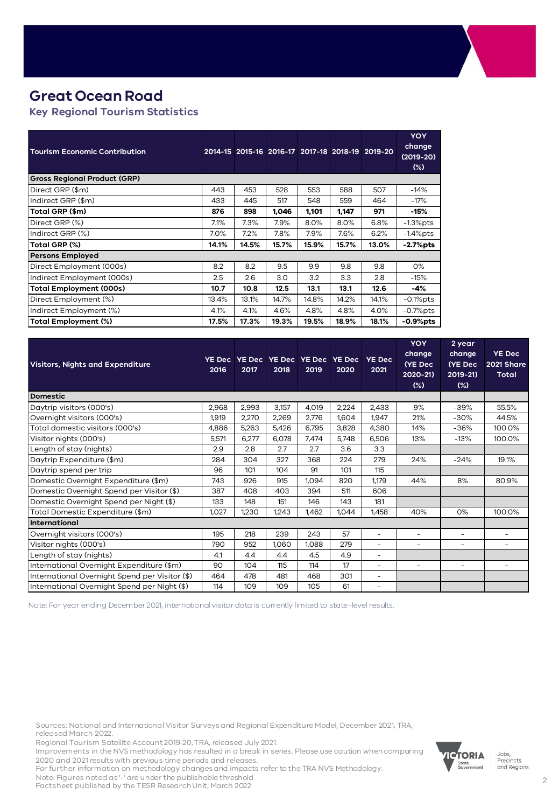# **Great Ocean Road**

## **Key Regional Tourism Statistics**

| <b>Tourism Economic Contribution</b> |       | 2014-15 2015-16 2016-17 2017-18 2018-19 |       |       |       | 2019-20 | <b>YOY</b><br>change<br>$(2019-20)$<br>$(\%)$ |
|--------------------------------------|-------|-----------------------------------------|-------|-------|-------|---------|-----------------------------------------------|
| <b>Gross Regional Product (GRP)</b>  |       |                                         |       |       |       |         |                                               |
| Direct GRP (\$m)                     | 443   | 453                                     | 528   | 553   | 588   | 507     | -14%                                          |
| Indirect GRP (\$m)                   | 433   | 445                                     | 517   | 548   | 559   | 464     | $-17\%$                                       |
| Total GRP (\$m)                      | 876   | 898                                     | 1,046 | 1,101 | 1,147 | 971     | -15%                                          |
| Direct GRP (%)                       | 7.1%  | 7.3%                                    | 7.9%  | 8.0%  | 8.0%  | 6.8%    | $-1.3\%$ pts                                  |
| Indirect GRP (%)                     | 7.0%  | 7.2%                                    | 7.8%  | 7.9%  | 7.6%  | 6.2%    | $-1.4\%$ pts                                  |
| Total GRP (%)                        | 14.1% | 14.5%                                   | 15.7% | 15.9% | 15.7% | 13.0%   | $-2.7%$ pts                                   |
| <b>Persons Employed</b>              |       |                                         |       |       |       |         |                                               |
| Direct Employment (000s)             | 8.2   | 8.2                                     | 9.5   | 9.9   | 9.8   | 9.8     | 0%                                            |
| Indirect Employment (000s)           | 2.5   | 2.6                                     | 3.0   | 3.2   | 3.3   | 2.8     | $-15%$                                        |
| <b>Total Employment (000s)</b>       | 10.7  | 10.8                                    | 12.5  | 13.1  | 13.1  | 12.6    | -4%                                           |
| Direct Employment (%)                | 13.4% | 13.1%                                   | 14.7% | 14.8% | 14.2% | 14.1%   | $-0.1%$ pts                                   |
| Indirect Employment (%)              | 4.1%  | 4.1%                                    | 4.6%  | 4.8%  | 4.8%  | 4.0%    | $-0.7%$ pts                                   |
| Total Employment (%)                 | 17.5% | 17.3%                                   | 19.3% | 19.5% | 18.9% | 18.1%   | $-0.9%$ pts                                   |

| <b>Visitors, Nights and Expenditure</b>        | <b>YE Dec</b><br>2016 | 2017  | YE Dec YE Dec YE Dec YE Dec<br>2018 | 2019  | 2020  | <b>YE Dec</b><br>2021    | <b>YOY</b><br>change<br>(YE Dec<br>$2020 - 21$<br>$(\%)$ | 2 year<br>change<br>(YE Dec<br>2019-21)<br>$(\%)$ | <b>YE Dec</b><br>2021 Share<br><b>Total</b> |
|------------------------------------------------|-----------------------|-------|-------------------------------------|-------|-------|--------------------------|----------------------------------------------------------|---------------------------------------------------|---------------------------------------------|
| <b>Domestic</b>                                |                       |       |                                     |       |       |                          |                                                          |                                                   |                                             |
| Daytrip visitors (000's)                       | 2,968                 | 2,993 | 3,157                               | 4,019 | 2,224 | 2,433                    | 9%                                                       | $-39%$                                            | 55.5%                                       |
| Overnight visitors (000's)                     | 1,919                 | 2,270 | 2,269                               | 2,776 | 1,604 | 1,947                    | 21%                                                      | $-30%$                                            | 44.5%                                       |
| Total domestic visitors (000's)                | 4,886                 | 5,263 | 5,426                               | 6.795 | 3,828 | 4,380                    | 14%                                                      | $-36%$                                            | 100.0%                                      |
| Visitor nights (000's)                         | 5,571                 | 6.277 | 6,078                               | 7.474 | 5,748 | 6,506                    | 13%                                                      | $-13%$                                            | 100.0%                                      |
| Length of stay (nights)                        | 2.9                   | 2.8   | 2.7                                 | 2.7   | 3.6   | 3.3                      |                                                          |                                                   |                                             |
| Daytrip Expenditure (\$m)                      | 284                   | 304   | 327                                 | 368   | 224   | 279                      | 24%                                                      | $-24%$                                            | 19.1%                                       |
| Daytrip spend per trip                         | 96                    | 101   | 104                                 | 91    | 101   | 115                      |                                                          |                                                   |                                             |
| Domestic Overnight Expenditure (\$m)           | 743                   | 926   | 915                                 | 1.094 | 820   | 1.179                    | 44%                                                      | 8%                                                | 80.9%                                       |
| Domestic Overnight Spend per Visitor (\$)      | 387                   | 408   | 403                                 | 394   | 511   | 606                      |                                                          |                                                   |                                             |
| Domestic Overnight Spend per Night (\$)        | 133                   | 148   | 151                                 | 146   | 143   | 181                      |                                                          |                                                   |                                             |
| Total Domestic Expenditure (\$m)               | 1,027                 | 1,230 | 1,243                               | 1,462 | 1,044 | 1,458                    | 40%                                                      | 0%                                                | 100.0%                                      |
| International                                  |                       |       |                                     |       |       |                          |                                                          |                                                   |                                             |
| Overnight visitors (000's)                     | 195                   | 218   | 239                                 | 243   | 57    | $\overline{\phantom{a}}$ | $\overline{\phantom{a}}$                                 | $\overline{\phantom{a}}$                          | -                                           |
| Visitor nights (000's)                         | 790                   | 952   | 1,060                               | 1.088 | 279   | $\overline{\phantom{a}}$ | $\overline{\phantom{a}}$                                 | $\overline{\phantom{a}}$                          | -                                           |
| Length of stay (nights)                        | 4.1                   | 4.4   | 4.4                                 | 4.5   | 4.9   | $\overline{\phantom{a}}$ |                                                          |                                                   |                                             |
| International Overnight Expenditure (\$m)      | 90                    | 104   | 115                                 | 114   | 17    | -                        | $\overline{\phantom{m}}$                                 | $\overline{\phantom{a}}$                          | -                                           |
| International Overnight Spend per Visitor (\$) | 464                   | 478   | 481                                 | 468   | 301   | $\overline{\phantom{a}}$ |                                                          |                                                   |                                             |
| International Overnight Spend per Night (\$)   | 114                   | 109   | 109                                 | 105   | 61    | -                        |                                                          |                                                   |                                             |

Note: For year ending December 2021, international visitor data is currently limited to state-level results.

Sources: National and International Visitor Surveys and Regional Expenditure Model, December 2021, TRA, released March 2022.

Regional Tourism Satellite Account 2019-20, TRA, released July 2021.

Improvements in the NVS methodology has resulted in a break in series. Please use caution when comparing 2020 and 2021 results with previous time periods and releases.

For further information on methodology changes and impacts refer to the TRA NVS Methodology.

Note: Figures noted as '-' are under the publishable threshold.

Factsheet published by the TESR Research Unit, March 2022